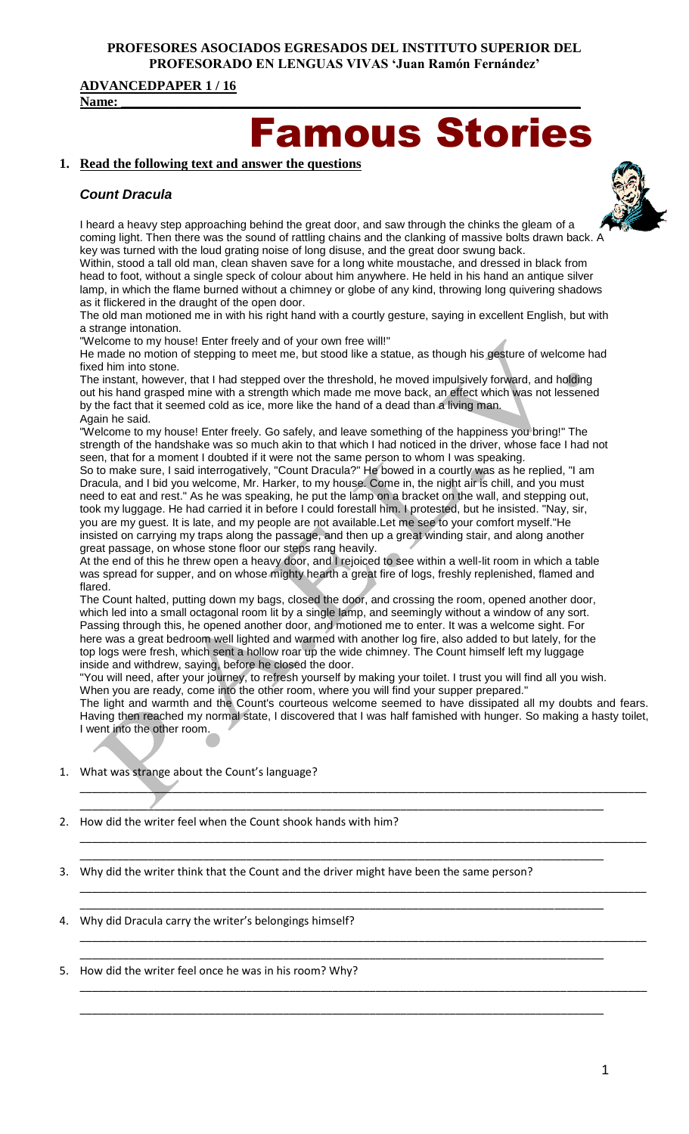#### **PROFESORES ASOCIADOS EGRESADOS DEL INSTITUTO SUPERIOR DEL PROFESORADO EN LENGUAS VIVAS 'Juan Ramón Fernández'**

#### **ADVANCEDPAPER 1 / 16**

**Name: \_\_\_\_\_\_\_\_\_\_\_\_\_\_\_\_\_\_\_\_\_\_\_\_\_\_\_\_\_\_\_\_\_\_\_\_\_\_\_\_\_\_\_\_\_\_\_\_\_\_\_\_\_\_\_\_\_\_\_\_\_\_\_\_\_\_\_\_**

# mous Stories

## **1. Read the following text and answer the questions**

# *Count Dracula*

I heard a heavy step approaching behind the great door, and saw through the chinks the gleam of a coming light. Then there was the sound of rattling chains and the clanking of massive bolts drawn back. key was turned with the loud grating noise of long disuse, and the great door swung back.

Within, stood a tall old man, clean shaven save for a long white moustache, and dressed in black from head to foot, without a single speck of colour about him anywhere. He held in his hand an antique silver lamp, in which the flame burned without a chimney or globe of any kind, throwing long quivering shadows as it flickered in the draught of the open door.

The old man motioned me in with his right hand with a courtly gesture, saying in excellent English, but with a strange intonation.

"Welcome to my house! Enter freely and of your own free will!"

He made no motion of stepping to meet me, but stood like a statue, as though his gesture of welcome had fixed him into stone.

The instant, however, that I had stepped over the threshold, he moved impulsively forward, and holding out his hand grasped mine with a strength which made me move back, an effect which was not lessened by the fact that it seemed cold as ice, more like the hand of a dead than a living man. Again he said.

"Welcome to my house! Enter freely. Go safely, and leave something of the happiness you bring!" The strength of the handshake was so much akin to that which I had noticed in the driver, whose face I had not seen, that for a moment I doubted if it were not the same person to whom I was speaking.

So to make sure, I said interrogatively, "Count Dracula?" He bowed in a courtly was as he replied, "I am Dracula, and I bid you welcome, Mr. Harker, to my house. Come in, the night air is chill, and you must need to eat and rest." As he was speaking, he put the lamp on a bracket on the wall, and stepping out, took my luggage. He had carried it in before I could forestall him. I protested, but he insisted. "Nay, sir, you are my guest. It is late, and my people are not available.Let me see to your comfort myself."He insisted on carrying my traps along the passage, and then up a great winding stair, and along another great passage, on whose stone floor our steps rang heavily.

At the end of this he threw open a heavy door, and I rejoiced to see within a well-lit room in which a table was spread for supper, and on whose mighty hearth a great fire of logs, freshly replenished, flamed and flared.

The Count halted, putting down my bags, closed the door, and crossing the room, opened another door, which led into a small octagonal room lit by a single lamp, and seemingly without a window of any sort. Passing through this, he opened another door, and motioned me to enter. It was a welcome sight. For here was a great bedroom well lighted and warmed with another log fire, also added to but lately, for the top logs were fresh, which sent a hollow roar up the wide chimney. The Count himself left my luggage inside and withdrew, saying, before he closed the door.

"You will need, after your journey, to refresh yourself by making your toilet. I trust you will find all you wish. When you are ready, come into the other room, where you will find your supper prepared."

The light and warmth and the Count's courteous welcome seemed to have dissipated all my doubts and fears. Having then reached my normal state, I discovered that I was half famished with hunger. So making a hasty toilet, I went into the other room.

\_\_\_\_\_\_\_\_\_\_\_\_\_\_\_\_\_\_\_\_\_\_\_\_\_\_\_\_\_\_\_\_\_\_\_\_\_\_\_\_\_\_\_\_\_\_\_\_\_\_\_\_\_\_\_\_\_\_\_\_\_\_\_\_\_\_\_\_\_\_\_\_\_\_\_\_\_\_\_\_\_\_\_\_\_\_\_\_\_\_\_\_

\_\_\_\_\_\_\_\_\_\_\_\_\_\_\_\_\_\_\_\_\_\_\_\_\_\_\_\_\_\_\_\_\_\_\_\_\_\_\_\_\_\_\_\_\_\_\_\_\_\_\_\_\_\_\_\_\_\_\_\_\_\_\_\_\_\_\_\_\_\_\_\_\_\_\_\_\_\_\_\_\_\_\_\_\_\_\_\_\_\_\_\_

\_\_\_\_\_\_\_\_\_\_\_\_\_\_\_\_\_\_\_\_\_\_\_\_\_\_\_\_\_\_\_\_\_\_\_\_\_\_\_\_\_\_\_\_\_\_\_\_\_\_\_\_\_\_\_\_\_\_\_\_\_\_\_\_\_\_\_\_\_\_\_\_\_\_\_\_\_\_\_\_\_\_\_\_\_\_\_\_\_\_\_\_

\_\_\_\_\_\_\_\_\_\_\_\_\_\_\_\_\_\_\_\_\_\_\_\_\_\_\_\_\_\_\_\_\_\_\_\_\_\_\_\_\_\_\_\_\_\_\_\_\_\_\_\_\_\_\_\_\_\_\_\_\_\_\_\_\_\_\_\_\_\_\_\_\_\_\_\_\_\_\_\_\_\_\_\_\_\_\_\_\_\_\_\_

\_\_\_\_\_\_\_\_\_\_\_\_\_\_\_\_\_\_\_\_\_\_\_\_\_\_\_\_\_\_\_\_\_\_\_\_\_\_\_\_\_\_\_\_\_\_\_\_\_\_\_\_\_\_\_\_\_\_\_\_\_\_\_\_\_\_\_\_\_\_\_\_\_\_\_\_\_\_\_\_\_\_\_\_\_\_\_\_\_\_\_\_

\_\_\_\_\_\_\_\_\_\_\_\_\_\_\_\_\_\_\_\_\_\_\_\_\_\_\_\_\_\_\_\_\_\_\_\_\_\_\_\_\_\_\_\_\_\_\_\_\_\_\_\_\_\_\_\_\_\_\_\_\_\_\_\_\_\_\_\_\_\_\_\_\_\_\_\_\_\_\_\_\_\_\_\_\_

\_\_\_\_\_\_\_\_\_\_\_\_\_\_\_\_\_\_\_\_\_\_\_\_\_\_\_\_\_\_\_\_\_\_\_\_\_\_\_\_\_\_\_\_\_\_\_\_\_\_\_\_\_\_\_\_\_\_\_\_\_\_\_\_\_\_\_\_\_\_\_\_\_\_\_\_\_\_\_\_\_\_\_\_\_

\_\_\_\_\_\_\_\_\_\_\_\_\_\_\_\_\_\_\_\_\_\_\_\_\_\_\_\_\_\_\_\_\_\_\_\_\_\_\_\_\_\_\_\_\_\_\_\_\_\_\_\_\_\_\_\_\_\_\_\_\_\_\_\_\_\_\_\_\_\_\_\_\_\_\_\_\_\_\_\_\_\_\_\_\_

\_\_\_\_\_\_\_\_\_\_\_\_\_\_\_\_\_\_\_\_\_\_\_\_\_\_\_\_\_\_\_\_\_\_\_\_\_\_\_\_\_\_\_\_\_\_\_\_\_\_\_\_\_\_\_\_\_\_\_\_\_\_\_\_\_\_\_\_\_\_\_\_\_\_\_\_\_\_\_\_\_\_\_\_\_

\_\_\_\_\_\_\_\_\_\_\_\_\_\_\_\_\_\_\_\_\_\_\_\_\_\_\_\_\_\_\_\_\_\_\_\_\_\_\_\_\_\_\_\_\_\_\_\_\_\_\_\_\_\_\_\_\_\_\_\_\_\_\_\_\_\_\_\_\_\_\_\_\_\_\_\_\_\_\_\_\_\_\_\_\_

1. What was strange about the Count's language?

2. How did the writer feel when the Count shook hands with him?

3. Why did the writer think that the Count and the driver might have been the same person?

- 4. Why did Dracula carry the writer's belongings himself?
- 5. How did the writer feel once he was in his room? Why?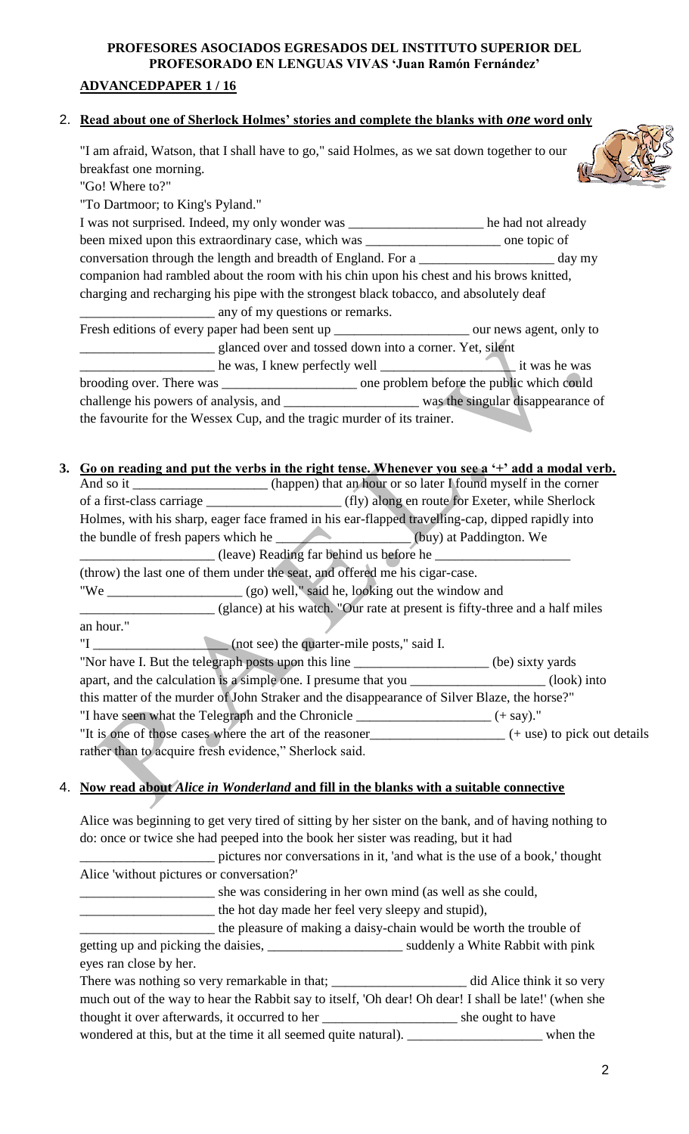#### **PROFESORES ASOCIADOS EGRESADOS DEL INSTITUTO SUPERIOR DEL PROFESORADO EN LENGUAS VIVAS 'Juan Ramón Fernández'**

#### **ADVANCEDPAPER 1 / 16**

"To Dartmoor; to King's Pyland."

"Go! Where to?"

#### 2. **Read about one of Sherlock Holmes' stories and complete the blanks with** *one* **word only**

"I am afraid, Watson, that I shall have to go," said Holmes, as we sat down together to our breakfast one morning.



| I was not surprised. Indeed, my only wonder was ___________________ he had not already            |  |  |
|---------------------------------------------------------------------------------------------------|--|--|
| been mixed upon this extraordinary case, which was ________________________ one topic of          |  |  |
| conversation through the length and breadth of England. For a ____________________ day my         |  |  |
| companion had rambled about the room with his chin upon his chest and his brows knitted,          |  |  |
| charging and recharging his pipe with the strongest black tobacco, and absolutely deaf            |  |  |
| any of my questions or remarks.                                                                   |  |  |
| Fresh editions of every paper had been sent up __________________________ our news agent, only to |  |  |
| __ glanced over and tossed down into a corner. Yet, silent                                        |  |  |
|                                                                                                   |  |  |
| brooding over. There was ________________________ one problem before the public which could       |  |  |
|                                                                                                   |  |  |
| the favourite for the Wessex Cup, and the tragic murder of its trainer.                           |  |  |

#### **3. Go on reading and put the verbs in the right tense. Whenever you see a '+' add a modal verb.**

|                                                        | And so it ________________________ (happen) that an hour or so later I found myself in the corner |  |  |
|--------------------------------------------------------|---------------------------------------------------------------------------------------------------|--|--|
|                                                        |                                                                                                   |  |  |
|                                                        | Holmes, with his sharp, eager face framed in his ear-flapped travelling-cap, dipped rapidly into  |  |  |
|                                                        | the bundle of fresh papers which he ___________________(buy) at Paddington. We                    |  |  |
|                                                        | (leave) Reading far behind us before he                                                           |  |  |
|                                                        | (throw) the last one of them under the seat, and offered me his cigar-case.                       |  |  |
|                                                        |                                                                                                   |  |  |
|                                                        | (glance) at his watch. "Our rate at present is fifty-three and a half miles                       |  |  |
| an hour."                                              |                                                                                                   |  |  |
|                                                        | "I (not see) the quarter-mile posts," said I.                                                     |  |  |
|                                                        | "Nor have I. But the telegraph posts upon this line __________________________(be) sixty yards    |  |  |
|                                                        | apart, and the calculation is a simple one. I presume that you ___________________(look) into     |  |  |
|                                                        | this matter of the murder of John Straker and the disappearance of Silver Blaze, the horse?"      |  |  |
|                                                        | "I have seen what the Telegraph and the Chronicle _______________________________ (+ say)."       |  |  |
|                                                        |                                                                                                   |  |  |
| rather than to acquire fresh evidence," Sherlock said. |                                                                                                   |  |  |

#### 4. **Now read about** *Alice in Wonderland* **and fill in the blanks with a suitable connective**

Alice was beginning to get very tired of sitting by her sister on the bank, and of having nothing to do: once or twice she had peeped into the book her sister was reading, but it had

\_\_\_\_\_\_\_\_\_\_\_\_\_\_\_\_\_\_\_\_ pictures nor conversations in it, 'and what is the use of a book,' thought Alice 'without pictures or conversation?' \_\_\_\_\_\_\_\_\_\_\_\_\_\_\_\_\_\_\_\_ she was considering in her own mind (as well as she could, \_\_\_\_\_\_\_\_\_\_\_\_\_\_\_\_\_\_\_\_ the hot day made her feel very sleepy and stupid), \_\_\_\_\_\_\_\_\_\_\_\_\_\_\_\_\_\_\_\_ the pleasure of making a daisy-chain would be worth the trouble of

getting up and picking the daisies, \_\_\_\_\_\_\_\_\_\_\_\_\_\_\_\_\_\_\_\_ suddenly a White Rabbit with pink eyes ran close by her.

| There was nothing so very remarkable in that;                                                        | did Alice think it so very |
|------------------------------------------------------------------------------------------------------|----------------------------|
| much out of the way to hear the Rabbit say to itself, 'Oh dear! Oh dear! I shall be late!' (when she |                            |
| thought it over afterwards, it occurred to her                                                       | she ought to have          |
| wondered at this, but at the time it all seemed quite natural).                                      | when the                   |